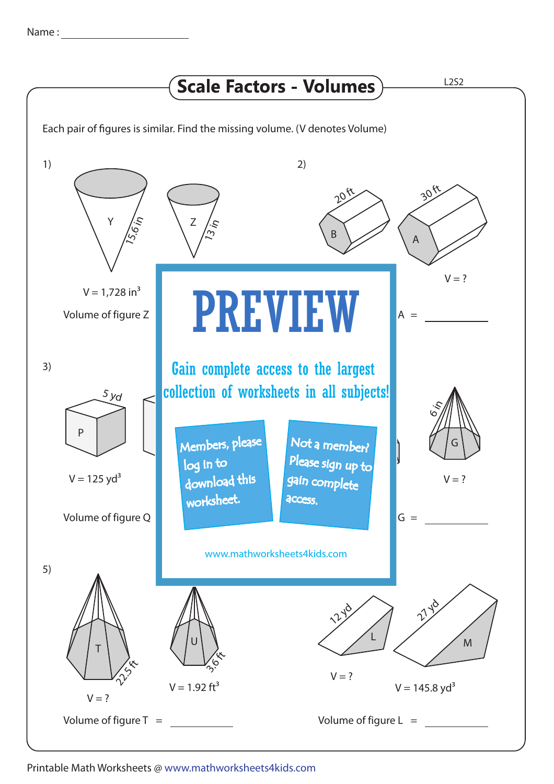